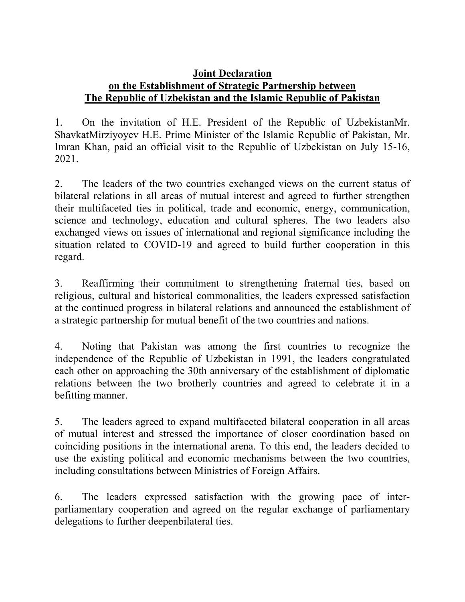## **Joint Declaration on the Establishment of Strategic Partnership between The Republic of Uzbekistan and the Islamic Republic of Pakistan**

1. On the invitation of H.E. President of the Republic of UzbekistanMr. ShavkatMirziyoyev H.E. Prime Minister of the Islamic Republic of Pakistan, Mr. Imran Khan, paid an official visit to the Republic of Uzbekistan on July 15-16, 2021.

2. The leaders of the two countries exchanged views on the current status of bilateral relations in all areas of mutual interest and agreed to further strengthen their multifaceted ties in political, trade and economic, energy, communication, science and technology, education and cultural spheres. The two leaders also exchanged views on issues of international and regional significance including the situation related to COVID-19 and agreed to build further cooperation in this regard.

3. Reaffirming their commitment to strengthening fraternal ties, based on religious, cultural and historical commonalities, the leaders expressed satisfaction at the continued progress in bilateral relations and announced the establishment of a strategic partnership for mutual benefit of the two countries and nations.

4. Noting that Pakistan was among the first countries to recognize the independence of the Republic of Uzbekistan in 1991, the leaders congratulated each other on approaching the 30th anniversary of the establishment of diplomatic relations between the two brotherly countries and agreed to celebrate it in a befitting manner.

5. The leaders agreed to expand multifaceted bilateral cooperation in all areas of mutual interest and stressed the importance of closer coordination based on coinciding positions in the international arena. To this end, the leaders decided to use the existing political and economic mechanisms between the two countries, including consultations between Ministries of Foreign Affairs.

6. The leaders expressed satisfaction with the growing pace of interparliamentary cooperation and agreed on the regular exchange of parliamentary delegations to further deepenbilateral ties.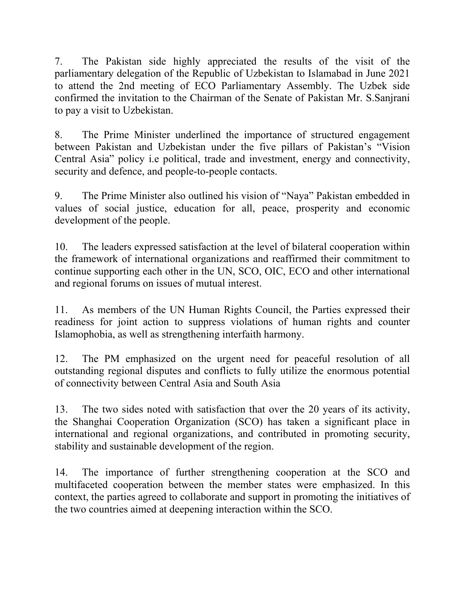7. The Pakistan side highly appreciated the results of the visit of the parliamentary delegation of the Republic of Uzbekistan to Islamabad in June 2021 to attend the 2nd meeting of ECO Parliamentary Assembly. The Uzbek side confirmed the invitation to the Chairman of the Senate of Pakistan Mr. S.Sanjrani to pay a visit to Uzbekistan.

8. The Prime Minister underlined the importance of structured engagement between Pakistan and Uzbekistan under the five pillars of Pakistan's "Vision Central Asia" policy i.e political, trade and investment, energy and connectivity, security and defence, and people-to-people contacts.

9. The Prime Minister also outlined his vision of "Naya" Pakistan embedded in values of social justice, education for all, peace, prosperity and economic development of the people.

10. The leaders expressed satisfaction at the level of bilateral cooperation within the framework of international organizations and reaffirmed their commitment to continue supporting each other in the UN, SCO, OIC, ECO and other international and regional forums on issues of mutual interest.

11. As members of the UN Human Rights Council, the Parties expressed their readiness for joint action to suppress violations of human rights and counter Islamophobia, as well as strengthening interfaith harmony.

12. The PM emphasized on the urgent need for peaceful resolution of all outstanding regional disputes and conflicts to fully utilize the enormous potential of connectivity between Central Asia and South Asia

13. The two sides noted with satisfaction that over the 20 years of its activity, the Shanghai Cooperation Organization (SCO) has taken a significant place in international and regional organizations, and contributed in promoting security, stability and sustainable development of the region.

14. The importance of further strengthening cooperation at the SCO and multifaceted cooperation between the member states were emphasized. In this context, the parties agreed to collaborate and support in promoting the initiatives of the two countries aimed at deepening interaction within the SCO.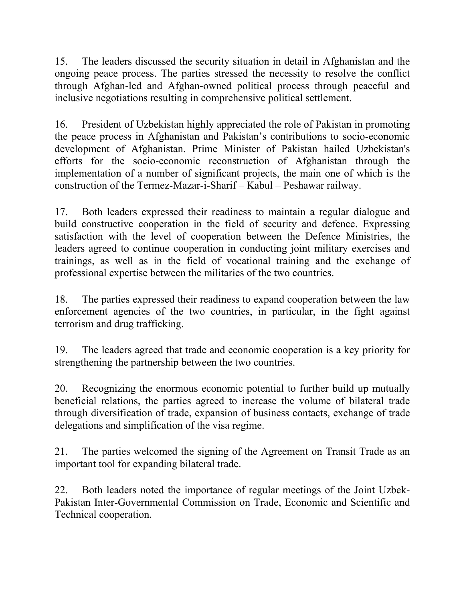15. The leaders discussed the security situation in detail in Afghanistan and the ongoing peace process. The parties stressed the necessity to resolve the conflict through Afghan-led and Afghan-owned political process through peaceful and inclusive negotiations resulting in comprehensive political settlement.

16. President of Uzbekistan highly appreciated the role of Pakistan in promoting the peace process in Afghanistan and Pakistan's contributions to socio-economic development of Afghanistan. Prime Minister of Pakistan hailed Uzbekistan's efforts for the socio-economic reconstruction of Afghanistan through the implementation of a number of significant projects, the main one of which is the construction of the Termez-Mazar-i-Sharif – Kabul – Peshawar railway.

17. Both leaders expressed their readiness to maintain a regular dialogue and build constructive cooperation in the field of security and defence. Expressing satisfaction with the level of cooperation between the Defence Ministries, the leaders agreed to continue cooperation in conducting joint military exercises and trainings, as well as in the field of vocational training and the exchange of professional expertise between the militaries of the two countries.

18. The parties expressed their readiness to expand cooperation between the law enforcement agencies of the two countries, in particular, in the fight against terrorism and drug trafficking.

19. The leaders agreed that trade and economic cooperation is a key priority for strengthening the partnership between the two countries.

20. Recognizing the enormous economic potential to further build up mutually beneficial relations, the parties agreed to increase the volume of bilateral trade through diversification of trade, expansion of business contacts, exchange of trade delegations and simplification of the visa regime.

21. The parties welcomed the signing of the Agreement on Transit Trade as an important tool for expanding bilateral trade.

22. Both leaders noted the importance of regular meetings of the Joint Uzbek-Pakistan Inter-Governmental Commission on Trade, Economic and Scientific and Technical cooperation.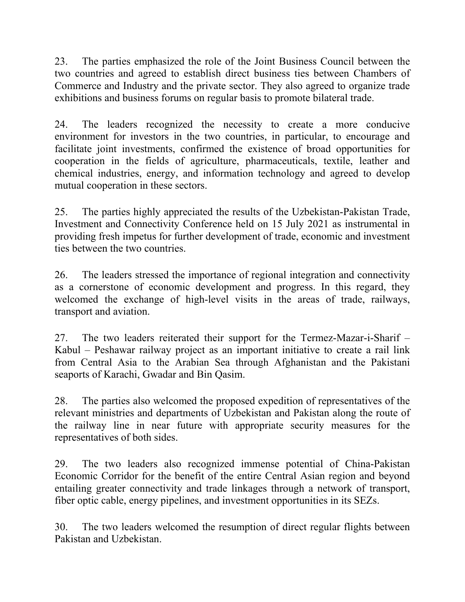23. The parties emphasized the role of the Joint Business Council between the two countries and agreed to establish direct business ties between Chambers of Commerce and Industry and the private sector. They also agreed to organize trade exhibitions and business forums on regular basis to promote bilateral trade.

24. The leaders recognized the necessity to create a more conducive environment for investors in the two countries, in particular, to encourage and facilitate joint investments, confirmed the existence of broad opportunities for cooperation in the fields of agriculture, pharmaceuticals, textile, leather and chemical industries, energy, and information technology and agreed to develop mutual cooperation in these sectors.

25. The parties highly appreciated the results of the Uzbekistan-Pakistan Trade, Investment and Connectivity Conference held on 15 July 2021 as instrumental in providing fresh impetus for further development of trade, economic and investment ties between the two countries.

26. The leaders stressed the importance of regional integration and connectivity as a cornerstone of economic development and progress. In this regard, they welcomed the exchange of high-level visits in the areas of trade, railways, transport and aviation.

27. The two leaders reiterated their support for the Termez-Mazar-i-Sharif – Kabul – Peshawar railway project as an important initiative to create a rail link from Central Asia to the Arabian Sea through Afghanistan and the Pakistani seaports of Karachi, Gwadar and Bin Qasim.

28. The parties also welcomed the proposed expedition of representatives of the relevant ministries and departments of Uzbekistan and Pakistan along the route of the railway line in near future with appropriate security measures for the representatives of both sides.

29. The two leaders also recognized immense potential of China-Pakistan Economic Corridor for the benefit of the entire Central Asian region and beyond entailing greater connectivity and trade linkages through a network of transport, fiber optic cable, energy pipelines, and investment opportunities in its SEZs.

30. The two leaders welcomed the resumption of direct regular flights between Pakistan and Uzbekistan.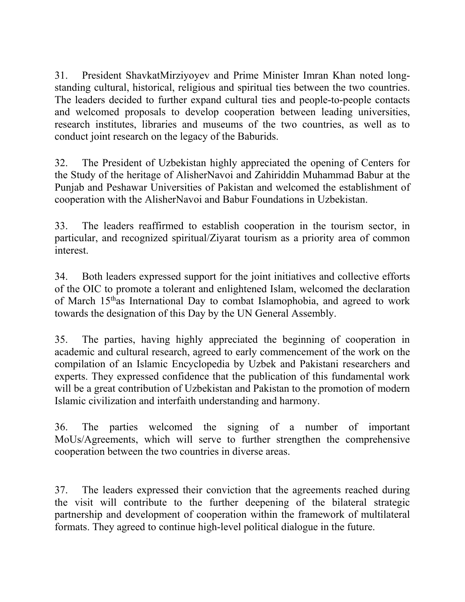31. President ShavkatMirziyoyev and Prime Minister Imran Khan noted longstanding cultural, historical, religious and spiritual ties between the two countries. The leaders decided to further expand cultural ties and people-to-people contacts and welcomed proposals to develop cooperation between leading universities, research institutes, libraries and museums of the two countries, as well as to conduct joint research on the legacy of the Baburids.

32. The President of Uzbekistan highly appreciated the opening of Centers for the Study of the heritage of AlisherNavoi and Zahiriddin Muhammad Babur at the Punjab and Peshawar Universities of Pakistan and welcomed the establishment of cooperation with the AlisherNavoi and Babur Foundations in Uzbekistan.

33. The leaders reaffirmed to establish cooperation in the tourism sector, in particular, and recognized spiritual/Ziyarat tourism as a priority area of common interest.

34. Both leaders expressed support for the joint initiatives and collective efforts of the OIC to promote a tolerant and enlightened Islam, welcomed the declaration of March 15thas International Day to combat Islamophobia, and agreed to work towards the designation of this Day by the UN General Assembly.

35. The parties, having highly appreciated the beginning of cooperation in academic and cultural research, agreed to early commencement of the work on the compilation of an Islamic Encyclopedia by Uzbek and Pakistani researchers and experts. They expressed confidence that the publication of this fundamental work will be a great contribution of Uzbekistan and Pakistan to the promotion of modern Islamic civilization and interfaith understanding and harmony.

36. The parties welcomed the signing of a number of important MoUs/Agreements, which will serve to further strengthen the comprehensive cooperation between the two countries in diverse areas.

37. The leaders expressed their conviction that the agreements reached during the visit will contribute to the further deepening of the bilateral strategic partnership and development of cooperation within the framework of multilateral formats. They agreed to continue high-level political dialogue in the future.